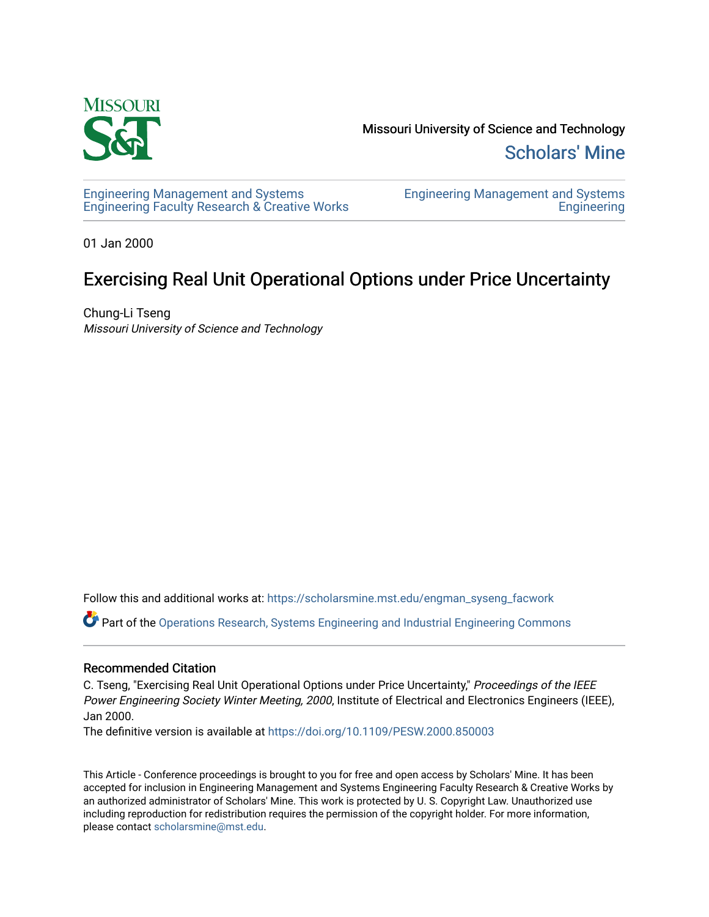

Missouri University of Science and Technology [Scholars' Mine](https://scholarsmine.mst.edu/) 

[Engineering Management and Systems](https://scholarsmine.mst.edu/engman_syseng_facwork)  [Engineering Faculty Research & Creative Works](https://scholarsmine.mst.edu/engman_syseng_facwork) [Engineering Management and Systems](https://scholarsmine.mst.edu/engman_syseng)  **Engineering** 

01 Jan 2000

# Exercising Real Unit Operational Options under Price Uncertainty

Chung-Li Tseng Missouri University of Science and Technology

Follow this and additional works at: [https://scholarsmine.mst.edu/engman\\_syseng\\_facwork](https://scholarsmine.mst.edu/engman_syseng_facwork?utm_source=scholarsmine.mst.edu%2Fengman_syseng_facwork%2F255&utm_medium=PDF&utm_campaign=PDFCoverPages) 

Part of the [Operations Research, Systems Engineering and Industrial Engineering Commons](http://network.bepress.com/hgg/discipline/305?utm_source=scholarsmine.mst.edu%2Fengman_syseng_facwork%2F255&utm_medium=PDF&utm_campaign=PDFCoverPages)

# Recommended Citation

C. Tseng, "Exercising Real Unit Operational Options under Price Uncertainty," Proceedings of the IEEE Power Engineering Society Winter Meeting, 2000, Institute of Electrical and Electronics Engineers (IEEE), Jan 2000.

The definitive version is available at <https://doi.org/10.1109/PESW.2000.850003>

This Article - Conference proceedings is brought to you for free and open access by Scholars' Mine. It has been accepted for inclusion in Engineering Management and Systems Engineering Faculty Research & Creative Works by an authorized administrator of Scholars' Mine. This work is protected by U. S. Copyright Law. Unauthorized use including reproduction for redistribution requires the permission of the copyright holder. For more information, please contact [scholarsmine@mst.edu.](mailto:scholarsmine@mst.edu)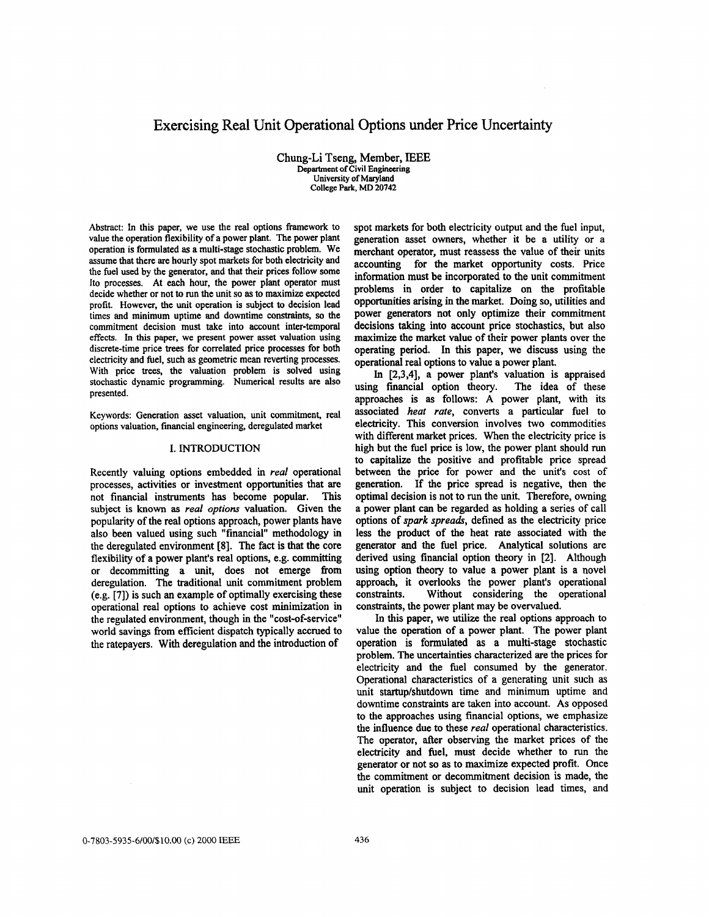# Exercising Real Unit Operational Options under Price Uncertainty

Chung-Li Tseng, Member, **IEEE**  Department **of** Civil **Engineering**  University of **Maryland**  College **Park, MD 20742** 

Abstract: In this paper, we use the real options framework to value the operation flexibility of a power plant. The power plant operation is formulated **as** a multi-stage stochastic problem. We assume that there are hourly spot markets for both electricity and the fuel used by the generator, and that their prices follow some **It0** processes. At each hour, the power plant operator must decide whether or not to run the unit **so as** to maximize expected profit. However, the unit operation is subject to decision lead times and minimum uptime and downtime constraints, *so* the commitment decision must take into account inter-temporal effects. In **this** paper, we present power asset valuation using discrete-time price trees for correlated price processes for both electricity and fuel, such **as** geometric mean reverting processes. With price trees, the valuation problem is solved using stochastic dynamic programming. Numerical results are also presented.

Keywords: Generation asset valuation, unit commitment, real options valuation, financial engineering, deregulated market

#### **I. INTRODUCTION**

Recently valuing options embedded in *real* operational processes, activities or investment opportunities that are not financial instruments has become popular. subject is **known as** *real options* valuation. Given the popularity of the real options approach, power plants have also been valued using such "financial" methodology in the deregulated environment **[8].** The fact is that the core flexibility of a power plant's real options, e.g. committing or decommitting a unit, does not emerge from deregulation. The traditional unit commitment problem (e.g. **[7])** is such an example of optimally exercising these operational real options to achieve cost minimization in the regulated environment, though in the "cost-of-service" world savings from efficient dispatch typically accrued to the ratepayers. With deregulation and the introduction of

spot markets for both electricity output and the fuel input, generation asset owners, whether it be a utility or a merchant operator, must reassess the value of their units accounting for the market opportunity costs. Price information must be incorporated to the unit commitment problems in order to capitalize on the profitable opportunities arising in the market. Doing **so,** utilities and power generators not only optimize their commitment decisions taking into account price stochastics, but also maximize the market value of their power plants over the operating period. **In** this paper, we discuss **using** the operational real options to value a power plant.

In **[2,3,4],** a power plant's valuation is appraised using financial option theory. The idea of these approaches is as follows: **A** power plant, with its associated *heat rate,* converts a particular fuel to electricity. This conversion involves two commodities with different market prices. When the electricity price is high but the fuel price is low, the power plant should run to capitalize the positive and profitable price spread between the price for power and the unit's cost of generation. If the price spread is negative, then the optimal decision is not to run the unit. Therefore, owning a power plant can be regarded **as** holding a series of call options of *spark spreads,* defined **as** the electricity price less the product of the heat rate associated with the generator and the fuel price. Analytical solutions are derived using financial option theory in [2]. Although using option theory to value a power plant is a novel approach, it overlooks the power plant's operational constraints. Without considering the operational constraints, the power plant may be overvalued.

In this paper, we utilize the real options approach to value the operation of a power plant. The power plant operation is formulated **as** a multi-stage stochastic problem. The uncertainties characterized are the prices for electricity and the fuel consumed by the generator. Operational characteristics of a generating unit such **as**  unit startup/shutdown time and minimum uptime **and**  downtime constraints are taken into account. **As** opposed to the approaches using financial options, we emphasize the influence due to these *real* operational characteristics. The operator, after observing the market prices of the electricity and fuel, must decide whether to run the generator or not so **as** to maximize expected profit. Once the commitment or decommitment decision is made, the unit operation is subject to decision lead times, **and**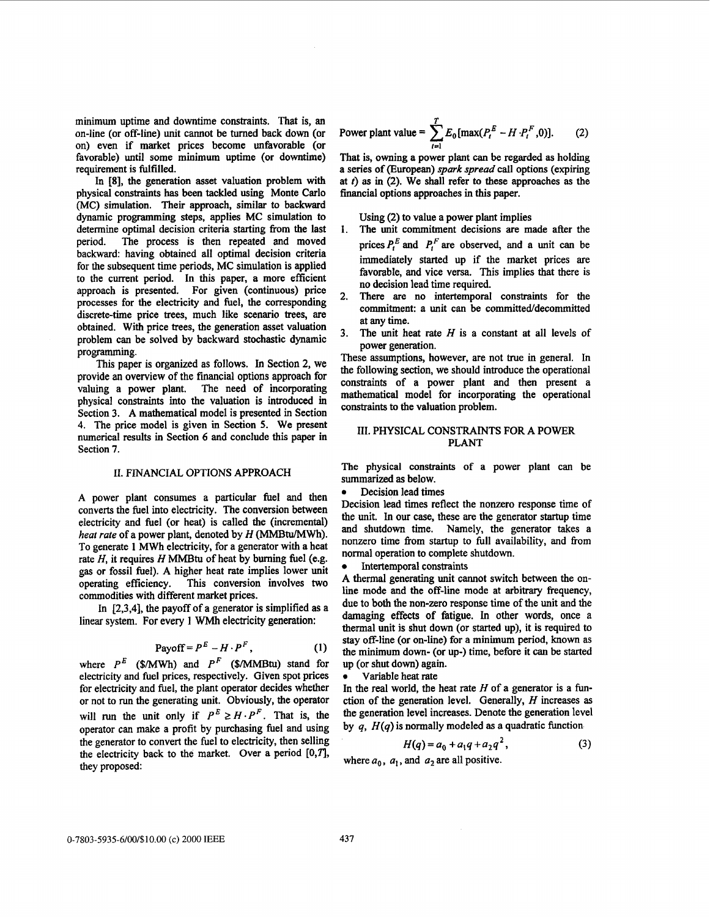minimum uptime and downtime constraints. That is, an on-line (or off-line) unit cannot be turned back down (or on) even if market prices become unfavorable (or favorable) until some minimum uptime (or downtime) requirement is fulfilled.

In **[8],** the generation asset valuation problem with physical constraints has been tackled using **Monte** Carlo (MC) simulation. Their approach, similar to backward dynamic programming steps, applies MC simulation to determine optimal decision criteria starting **fiom** the last period. The process is then repeated and moved backward: having obtained all optimal decision criteria for the subsequent time periods, MC simulation is applied to the current period. In this paper, a more efficient approach is presented. For given (continuous) price processes for the electricity and fuel, the corresponding discrete-time price trees, much like scenario trees, are obtained. With price trees, the generation asset valuation problem can be solved by backward stochastic dynamic programming.

This paper is organized as follows. In Section 2, we provide an overview of the financial options approach for valuing a power plant. The need of incorporating physical constraints into the valuation is introduced in Section 3. **A** mathematical model is presented in Section **4.** The price model is given in Section *5.* We present numerical results in Section *6* **and** conclude this paper in Section **7.** 

#### 11. FINANCIAL OPTIONS APPROACH

**A** power plant consumes a particular fuel and then converts the fuel into electricity. The conversion between electricity and fuel (or heat) is called the (incremental) heat rate of a power plant, denoted by *H* (MMBtu/MWh). To generate 1 **MWh** electricity, for a generator with a heat rate  $H$ , it requires  $H$  MMBtu of heat by burning fuel (e.g. gas or fossil fuel). A higher heat rate implies lower unit operating efficiency. This conversion involves two commodities with different market prices.

In **[2,3,4],** the payoff of a generator is simplified as a linear system. For every 1 WMh electricity generation:

$$
Payoff = PE - H \cdot PF,
$$
 (1)

where  $P^E$  (\$/MWh) and  $P^F$  (\$/MMBtu) stand for electricity and fuel prices, respectively. Given spot prices for electricity and fuel, the plant operator decides whether or not to run the generating unit. Obviously, the operator will run the unit only if  $P^E \geq H \cdot P^F$ . That is, the operator can make a profit by purchasing fuel and using the generator to convert the fuel to electricity, then selling the electricity back to the market. Over **a** period *[O,TJ,*  they proposed:

Power plant value = 
$$
\sum_{t=1}^{T} E_0 \{ \max(P_t^E - H \cdot P_t^F, 0) \}.
$$
 (2)

That is, owning a power plant can be regarded as holding a series of (European) *spark* spread call options (expiring at *t)* as in **(2).** We shall refer to these approaches **as** the financial options approaches in **this** paper.

Using (2) to value a power plant implies

- The unit commitment decisions are made after the prices  $P_t^E$  and  $P_t^F$  are observed, and a unit can be immediately started up if the market prices are favorable, and vice versa. This implies that there is no decision lead time required. 1.
- **2.** There are no intertemporal constraints for the commitment: a unit can be committed/decommitted at any time.
- 3. The unit heat rate  $H$  is a constant at all levels of power generation.

These assumptions, however, are not true in general. In the following section, we should introduce the operational constraints of a power plant and then present a mathematical model for incorporating the operational constraints to the valuation problem.

#### **111.** PHYSICAL CONSTRAINTS FOR A **POWER**  PLANT

The physical constraints of a power plant can be summarized **as** below.

*0* Decision lead times

Decision lead times reflect the nonzero response time of the unit. In our case, these are the generator startup time and shutdown time. Namely, the generator takes a nonzero time from startup to full availability, and fiom normal operation to complete shutdown.

Intertemporal constraints

A thermal generating unit cannot switch between the online mode and the off-line mode at arbitrary frequency, due to both the non-zero response time of the unit and the damaging effects of fatigue. In other words, once a thermal unit is shut **down** (or started up), it is required to **stay** off-line (or on-line) for a minimum period, **known** as the minimum down- (or up-) time, before it can be started up (or shut down) again.

*0* Variable heat rate

In the real world, the heat rate *H* of **a** generator is a function of the generation level. Generally, H increases **as**  the generation level increases. Denote the generation level by *q, H(q)* is normally modeled **as** a quadratic function

$$
H(q) = a_0 + a_1 q + a_2 q^2, \tag{3}
$$

where  $a_0$ ,  $a_1$ , and  $a_2$  are all positive.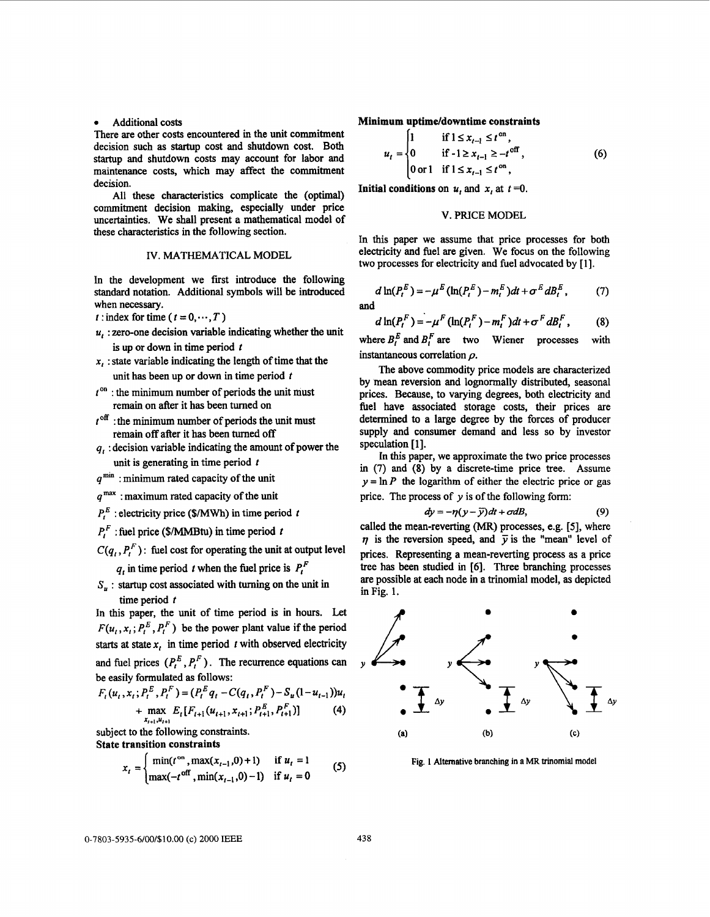#### **Additional costs**

There are other costs encountered in the unit commitment decision such as startup cost and shutdown cost. Both startup and shutdown costs may account for labor and maintenance costs, which may affect the commitment decision.

All these characteristics complicate the (optimal) commitment decision making, especially under price uncertainties. We shall present a mathematical model of these characteristics in the following section.

## IV. MATHEMATICAL **MODEL**

In the development we first introduce the following standard notation. Additional symbols will be introduced when necessary.

t: index for time ( $t = 0, \dots, T$ )

- $u_i$ : zero-one decision variable indicating whether the unit is up or down in time period  $t$
- **x,** : state variable indicating the length of time that the unit has been up or down in time period  $t$
- $t^{on}$ : the minimum number of periods the unit must remain on after it has been turned on
- $t<sup>off</sup>$ : the minimum number of periods the unit must remain off after it **has** been turned off
- *qr* : decision variable indicating the amount of power the unit is generating in time period  $t$
- $q^{\text{min}}$ : minimum rated capacity of the unit
- *qmax* : maximum rated capacity of the unit
- $P_t^E$ : electricity price (\$/MWh) in time period *t*
- $P_t^F$ : fuel price (\$/MMBtu) in time period t
- $C(q_i, P_i^F)$ : fuel cost for operating the unit at output level  $q_i$  in time period *t* when the fuel price is  $P_t^F$
- $S_n$ : startup cost associated with turning on the unit in time period *t*

In this paper, the unit of time period is in hours. Let  $F(u_t, x_t; P_t^E, P_t^F)$  be the power plant value if the period **starts** at **state x,** in time period *t* with observed electricity and fuel prices  $(P_t^E, P_t^F)$ . The recurrence equations can be easily formulated **as** follows:

$$
F_t(u_t, x_t; P_t^E, P_t^F) = (P_t^E q_t - C(q_t, P_t^F) - S_u(1 - u_{t-1}))u_t
$$
  
+ 
$$
\max_{x_{t+1}, u_{t+1}} E_t[F_{t+1}(u_{t+1}, x_{t+1}; P_{t+1}^E, P_{t+1}^F)]
$$
 (4)

subject to the following constraints. State transition constraints

$$
x_{t} =\begin{cases} \min(t^{\text{on}}, \max(x_{t-1}, 0) + 1) & \text{if } u_{t} = 1\\ \max(-t^{\text{off}}, \min(x_{t-1}, 0) - 1) & \text{if } u_{t} = 0 \end{cases}
$$
(5)

Minimum uptime/dovntime constraints

\n
$$
u_{t} = \begin{cases}\n1 & \text{if } 1 \leq x_{t-1} \leq t^{\text{on}}, \\
0 & \text{if } -1 \geq x_{t-1} \geq -t^{\text{off}}, \\
0 \text{ or } 1 & \text{if } 1 \leq x_{t-1} \leq t^{\text{on}},\n\end{cases} \tag{6}
$$

Initial conditions on  $u_t$  and  $x_t$  at  $t=0$ .

#### **V. PRICE MODEL**

In this paper we assume that price processes for both electricity and fuel are given. We focus on the following two processes for electricity and fuel advocated by [1].

$$
d\ln(P_t^E) = -\mu^E(\ln(P_t^E) - m_t^E)dt + \sigma^E dB_t^E, \qquad (7)
$$

**(8)** 

and  
\n
$$
d \ln(P_t^F) = -\mu^F (\ln(P_t^F) - m_t^F) dt + \sigma^F dB_t^F,
$$

where  $B_i^E$  and  $B_i^F$  are two Wiener processes with instantaneous correlation *p.* 

The above commodity price models are characterized by mean reversion and lognormally distributed, seasonal prices. Because, to varying degrees, both electricity and fuel have associated storage costs, their prices are determined to a large degree by the forces of producer supply and consumer demand and less so by investor speculation  $[1]$ .

In this paper, we approximate the two price processes in (7) and **(8)** by a discrete-time price tree. Assume  $y = \ln P$  the logarithm of either the electric price or gas

price. The process of y is of the following form:  
\n
$$
dy = -\eta(y - \overline{y})dt + \sigma dB,
$$
\n(9)

called the mean-reverting (MR) processes, e.g. *[5],* where  $\eta$  is the reversion speed, and  $\bar{y}$  is the "mean" level of prices. Representing a mean-reverting process as a price tree has been studied in *[6].* Three branching processes are possible at each node in **a** trinomial model, **as** depicted in Fig. 1.



**Fig. 1 Altemative branching in a MR trinomial model**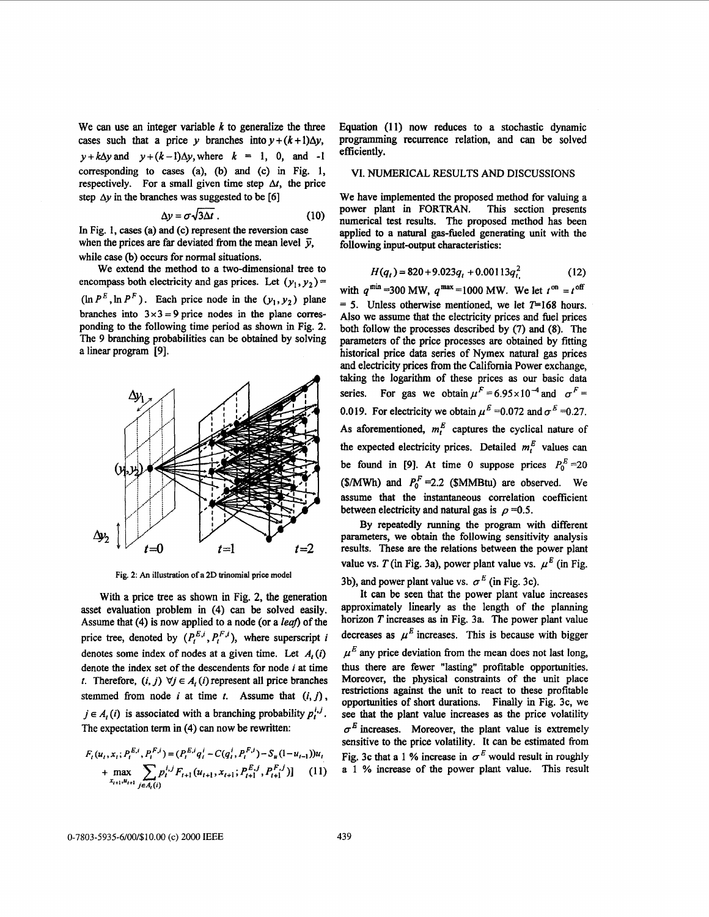We can use **an** integer variable *k* to generalize the three cases such that a price y branches into  $y + (k+1)\Delta y$ ,  $y+k\Delta y$  and  $y+(k-1)\Delta y$ , where  $k = 1, 0,$  and -1 corresponding to cases (a), (b) and (c) in Fig. 1, respectively. For a small given time step  $\Delta t$ , the price step  $\Delta y$  in the branches was suggested to be [6]

$$
\Delta y = \sigma \sqrt{3\Delta t} \ . \tag{10}
$$

In Fig. 1, cases (a) and (c) represent the reversion case when the prices are far deviated from the mean level  $\bar{y}$ , while case (b) occurs for normal situations.

We extend the method to a two-dimensional tree to encompass both electricity and gas prices. Let  $(y_1, y_2)$  =  $(\ln P^E, \ln P^F)$ . Each price node in the  $(y_1, y_2)$  plane branches into  $3 \times 3 = 9$  price nodes in the plane corresponding to the following time period **as** shown in Fig. **2.**  The 9 branching probabilities can be obtained by solving a linear program [9].



**Fig. 2:** *An* **illustration of a 2D trinomial price model** 

With a price tree as shown in Fig. 2, the generation asset evaluation problem in **(4)** can be solved easily. Assume that (4) is now applied to a node (or a *leaf*) of the price tree, denoted by  $(P_t^{E,i}, P_t^{F,i})$ , where superscript *i* denotes some index of nodes at a given time. Let *A,(i)*  denote the index set of the descendents for node *i* at time *t.* Therefore,  $(i, j)$   $\forall j \in A_i$  *(i)* represent all price branches stemmed from node *i* at time  $t$ . Assume that  $(i, j)$ ,  $j \in A_t(i)$  is associated with a branching probability  $p_t^{i,j}$ . The expectation term in **(4)** can now be rewritten:

$$
F_t(u_t, x_t; P_t^{E,i}, P_t^{F,i}) = (P_t^{E,i}q_t^i - C(q_t^i, P_t^{F,i}) - S_u(1 - u_{t-1}))u_t
$$
  
+ max 
$$
\sum_{x_{t+1}, u_{t+1}} \sum_{j \in A_t(i)} p_t^{i,j} F_{t+1}(u_{t+1}, x_{t+1}; P_{t+1}^{E,j}, P_{t+1}^{F,i})]
$$
 (11)

Equation (11) now reduces to a stochastic dynamic programming recurrence relation, and can be solved efficiently.

## VI. NUMERICAL RESULTS AND DISCUSSIONS

We have implemented the proposed method for valuing a power plant in FORTRAN. This section presents power plant in FORTRAN. numerical test results. The proposed method has been applied to a natural gas-fueled generating unit with the following input-output characteristics:

$$
H(q_t) = 820 + 9.023q_t + 0.00113q_t^2
$$
 (12)

with  $q^{\text{min}} = 300 \text{ MW}, q^{\text{max}} = 1000 \text{ MW}.$  We let  $t^{\text{on}} = t^{\text{off}}$  $= 5$ . Unless otherwise mentioned, we let  $T=168$  hours. Also we assume that the electricity prices and fuel prices both follow the processes described by **(7)** and **(8).** The parameters of the price processes are obtained by fitting historical price **data** series of Nymex natural gas prices and electricity prices from the California Power exchange, taking the logarithm of these prices as our basic data series. For gas we obtain  $\mu^F = 6.95 \times 10^{-4}$  and  $\sigma^F =$ 0.019. For electricity we obtain  $\mu^E$  =0.072 and  $\sigma^E$  =0.27. As aforementioned,  $m_t^E$  captures the cyclical nature of the expected electricity prices. Detailed  $m_t^E$  values can be found in [9]. At time 0 suppose prices  $P_0^E = 20$ (\$/MWh) and  $P_0^F = 2.2$  (\$MMBtu) are observed. We assume that the instantaneous correlation coefficient between electricity and natural gas is  $\rho = 0.5$ .

By repeatedly running the program with different parameters, we obtain **the** following sensitivity analysis results. These are the relations between the power plant value vs. T (in Fig. 3a), power plant value vs.  $\mu^E$  (in Fig. 3b), and power plant value vs.  $\sigma^E$  (in Fig. 3c).

It can be seen that the power plant value increases approximately linearly as the length of the planning horizon T increases **as** in Fig. 3a. The power plant value decreases as  $\mu^E$  increases. This is because with bigger  $\mu^E$  any price deviation from the mean does not last long, thus there are fewer "lasting" profitable opportunities. Moreover, the physical constraints of the unit place restrictions against the unit to react to these profitable opportunities of short durations. Finally in Fig. 3c, we **see** that the plant value increases **as** the price volatility  $\sigma^E$  increases. Moreover, the plant value is extremely sensitive to the price volatility. It can be estimated from Fig. 3c that a 1 % increase in  $\sigma^E$  would result in roughly a 1 % increase of the power plant value. This result

0-7803-5935-6/00/\$10.00 (c) 2000 IEEE